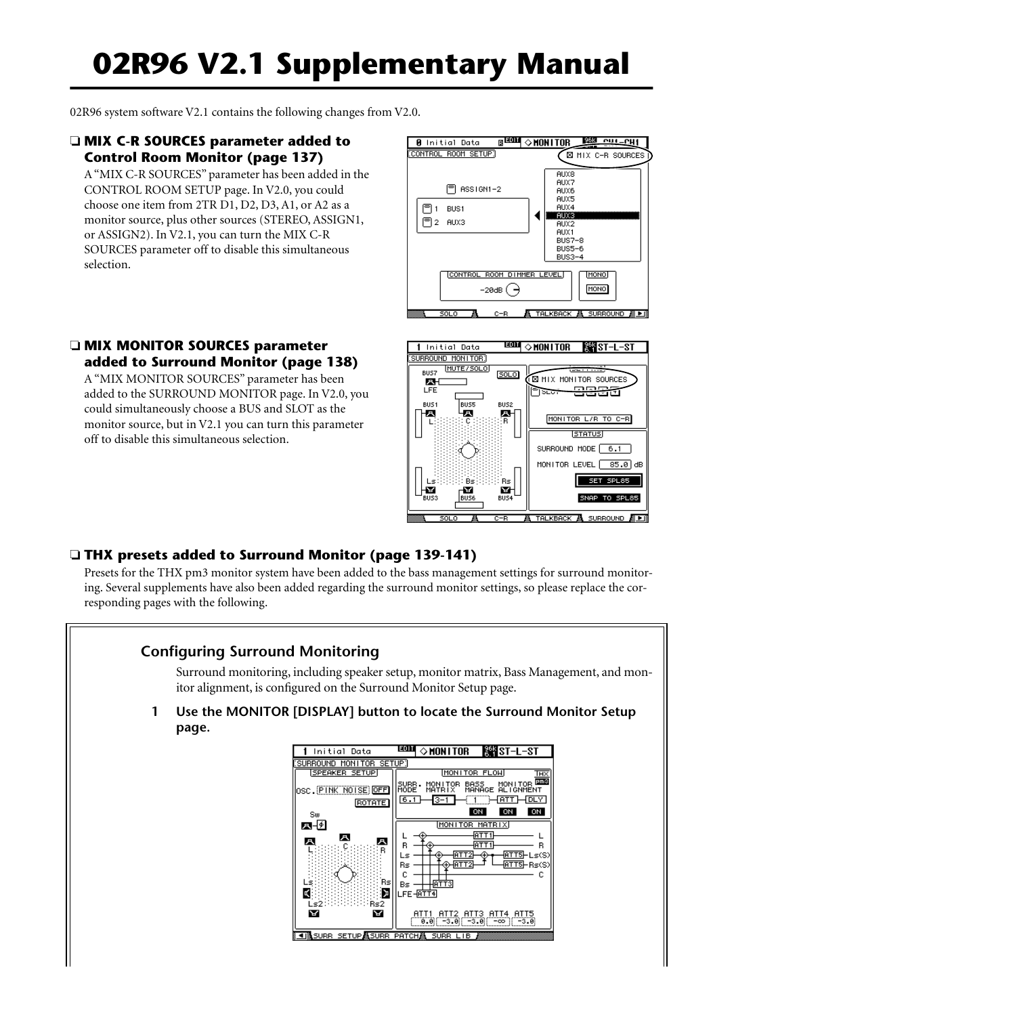# **02R96 V2.1 Supplementary Manual**

02R96 system software V2.1 contains the following changes from V2.0.

## ❏ **MIX C-R SOURCES parameter added to Control Room Monitor (page 137)**

A "MIX C-R SOURCES" parameter has been added in the CONTROL ROOM SETUP page. In V2.0, you could choose one item from 2TR D1, D2, D3, A1, or A2 as a monitor source, plus other sources (STEREO, ASSIGN1, or ASSIGN2). In V2.1, you can turn the MIX C-R SOURCES parameter off to disable this simultaneous selection.



# ❏ **MIX MONITOR SOURCES parameter added to Surround Monitor (page 138)**

A "MIX MONITOR SOURCES" parameter has been added to the SURROUND MONITOR page. In V2.0, you could simultaneously choose a BUS and SLOT as the monitor source, but in V2.1 you can turn this parameter off to disable this simultaneous selection.



# ❏ **THX presets added to Surround Monitor (page 139-141)**

Presets for the THX pm3 monitor system have been added to the bass management settings for surround monitoring. Several supplements have also been added regarding the surround monitor settings, so please replace the corresponding pages with the following.

# **Configuring Surround Monitoring**

Surround monitoring, including speaker setup, monitor matrix, Bass Management, and monitor alignment, is configured on the Surround Monitor Setup page.

**1 Use the MONITOR [DISPLAY] button to locate the Surround Monitor Setup page.**

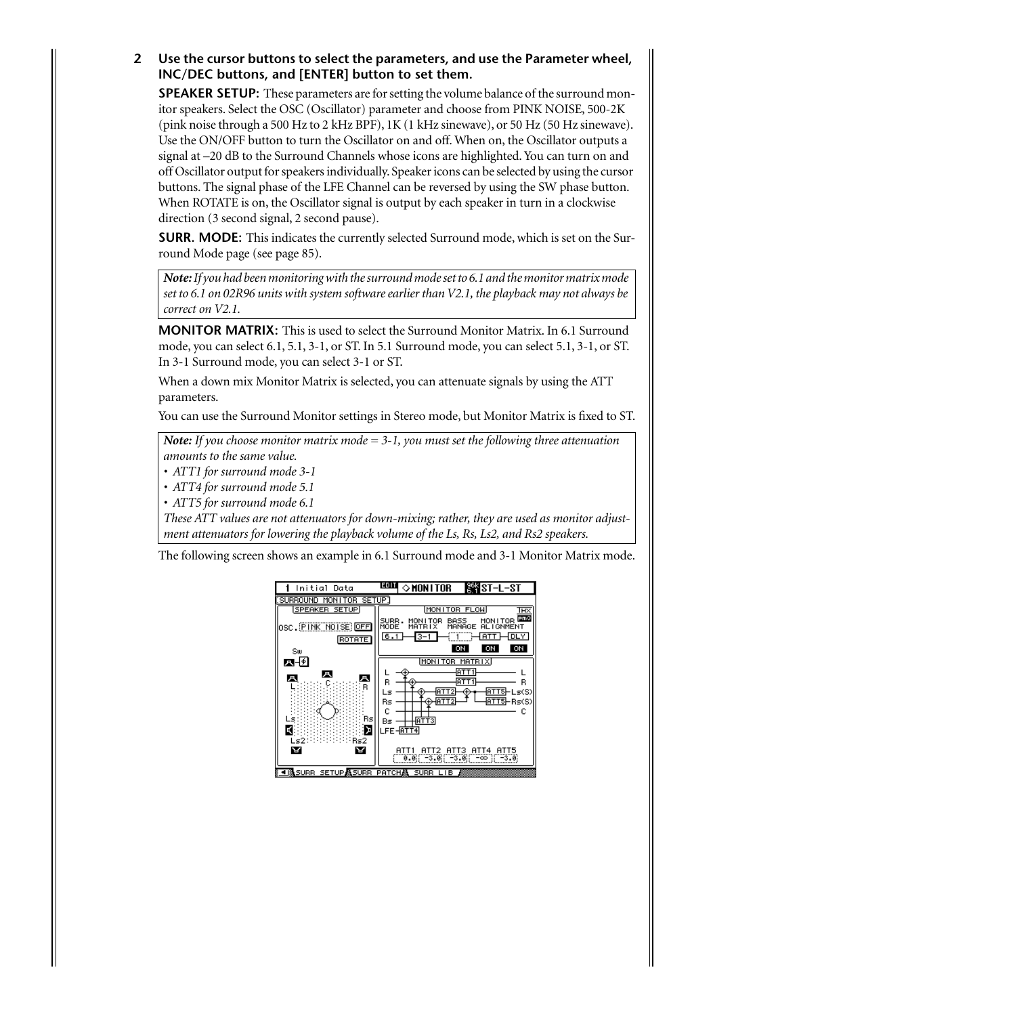## **2 Use the cursor buttons to select the parameters, and use the Parameter wheel, INC/DEC buttons, and [ENTER] button to set them.**

**SPEAKER SETUP:** These parameters are for setting the volume balance of the surround monitor speakers. Select the OSC (Oscillator) parameter and choose from PINK NOISE, 500-2K (pink noise through a 500 Hz to 2 kHz BPF), 1K (1 kHz sinewave), or 50 Hz (50 Hz sinewave). Use the ON/OFF button to turn the Oscillator on and off. When on, the Oscillator outputs a signal at –20 dB to the Surround Channels whose icons are highlighted. You can turn on and off Oscillator output for speakers individually. Speaker icons can be selected by using the cursor buttons. The signal phase of the LFE Channel can be reversed by using the SW phase button. When ROTATE is on, the Oscillator signal is output by each speaker in turn in a clockwise direction (3 second signal, 2 second pause).

**SURR. MODE:** This indicates the currently selected Surround mode, which is set on the Surround Mode page (see page 85).

*Note: If you had been monitoring with the surround mode set to 6.1 and the monitor matrix mode set to 6.1 on 02R96 units with system software earlier than V2.1, the playback may not always be correct on V2.1.*

**MONITOR MATRIX:** This is used to select the Surround Monitor Matrix. In 6.1 Surround mode, you can select 6.1, 5.1, 3-1, or ST. In 5.1 Surround mode, you can select 5.1, 3-1, or ST. In 3-1 Surround mode, you can select 3-1 or ST.

When a down mix Monitor Matrix is selected, you can attenuate signals by using the ATT parameters.

You can use the Surround Monitor settings in Stereo mode, but Monitor Matrix is fixed to ST.

*Note: If you choose monitor matrix mode = 3-1, you must set the following three attenuation amounts to the same value.*

*• ATT1 for surround mode 3-1*

*• ATT4 for surround mode 5.1*

*• ATT5 for surround mode 6.1*

*These ATT values are not attenuators for down-mixing; rather, they are used as monitor adjustment attenuators for lowering the playback volume of the Ls, Rs, Ls2, and Rs2 speakers.*

The following screen shows an example in 6.1 Surround mode and 3-1 Monitor Matrix mode.

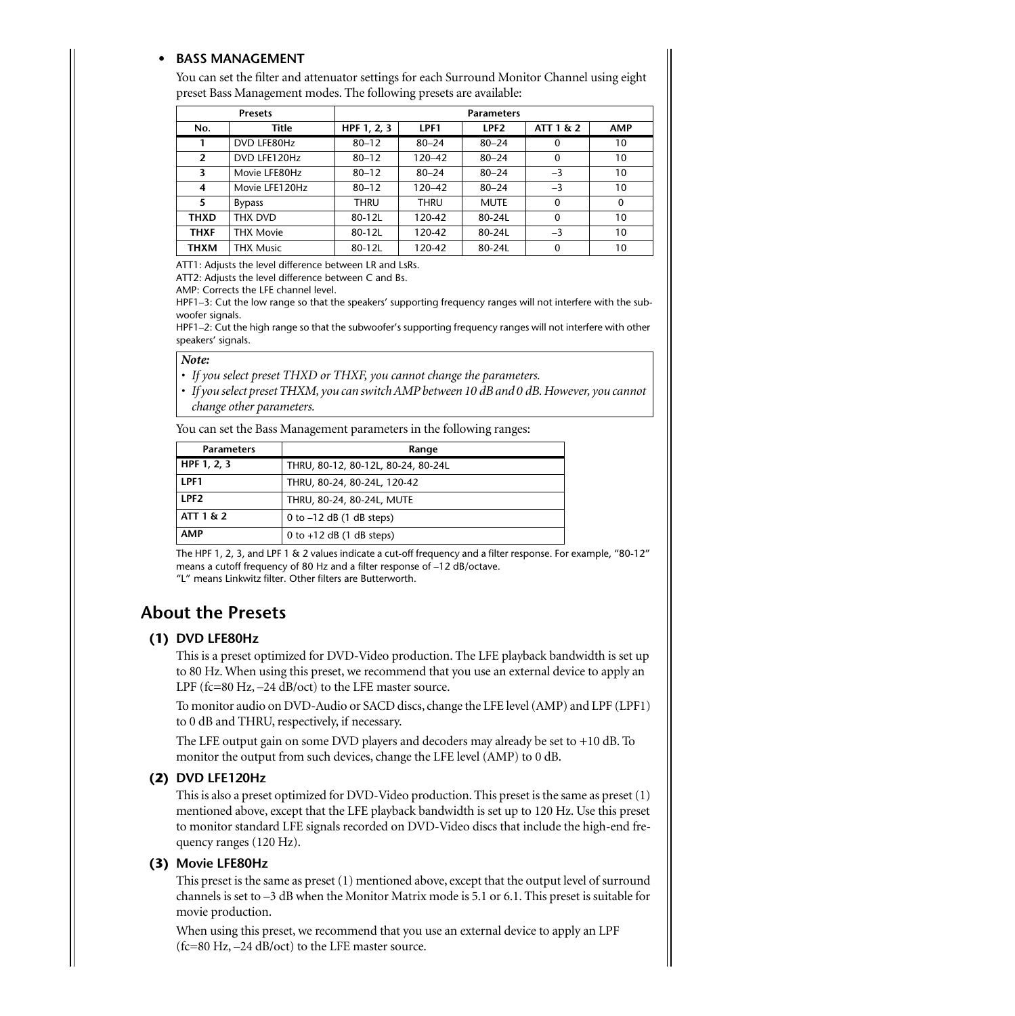#### **• BASS MANAGEMENT**

You can set the filter and attenuator settings for each Surround Monitor Channel using eight preset Bass Management modes. The following presets are available:

| <b>Presets</b> |                  | <b>Parameters</b> |             |                  |              |              |
|----------------|------------------|-------------------|-------------|------------------|--------------|--------------|
| No.            | Title            | HPF 1, 2, 3       | LPF1        | LPF <sub>2</sub> | ATT 1 & 2    | <b>AMP</b>   |
| 1              | DVD LFE80Hz      | $80 - 12$         | $80 - 24$   | $80 - 24$        | $\mathbf{0}$ | 10           |
| $\overline{2}$ | DVD LFE120Hz     | $80 - 12$         | $120 - 42$  | $80 - 24$        | $\mathbf{0}$ | 10           |
| 3              | Movie LFE80Hz    | $80 - 12$         | $80 - 24$   | $80 - 24$        | $-3$         | 10           |
| 4              | Movie LFE120Hz   | $80 - 12$         | 120-42      | $80 - 24$        | $-3$         | 10           |
| 5              | <b>Bypass</b>    | <b>THRU</b>       | <b>THRU</b> | <b>MUTE</b>      | $\Omega$     | $\mathbf{0}$ |
| <b>THXD</b>    | THX DVD          | 80-12L            | 120-42      | 80-24L           | $\mathbf{0}$ | 10           |
| <b>THXF</b>    | <b>THX Movie</b> | 80-12L            | 120-42      | 80-24L           | $-3$         | 10           |
| <b>THXM</b>    | <b>THX Music</b> | 80-12L            | 120-42      | 80-24L           | $\mathbf{0}$ | 10           |

ATT1: Adjusts the level difference between LR and LsRs.

ATT2: Adjusts the level difference between C and Bs.

AMP: Corrects the LFE channel level.

HPF1–3: Cut the low range so that the speakers' supporting frequency ranges will not interfere with the subwoofer signals.

HPF1–2: Cut the high range so that the subwoofer's supporting frequency ranges will not interfere with other speakers' signals.

#### *Note:*

- *If you select preset THXD or THXF, you cannot change the parameters.*
- *If you select preset THXM, you can switch AMP between 10 dB and 0 dB. However, you cannot change other parameters.*

You can set the Bass Management parameters in the following ranges:

| <b>Parameters</b> | Range                              |  |  |  |
|-------------------|------------------------------------|--|--|--|
| HPF 1, 2, 3       | THRU, 80-12, 80-12L, 80-24, 80-24L |  |  |  |
| IPF <sub>1</sub>  | THRU, 80-24, 80-24L, 120-42        |  |  |  |
| IPF <sub>2</sub>  | THRU, 80-24, 80-24L, MUTE          |  |  |  |
| ATT 1 & 2         | 0 to $-12$ dB (1 dB steps)         |  |  |  |
| <b>AMP</b>        | 0 to $+12$ dB (1 dB steps)         |  |  |  |

The HPF 1, 2, 3, and LPF 1 & 2 values indicate a cut-off frequency and a filter response. For example, "80-12" means a cutoff frequency of 80 Hz and a filter response of –12 dB/octave. "L" means Linkwitz filter. Other filters are Butterworth.

# **About the Presets**

#### **(1) DVD LFE80Hz**

This is a preset optimized for DVD-Video production. The LFE playback bandwidth is set up to 80 Hz. When using this preset, we recommend that you use an external device to apply an LPF (fc=80 Hz, -24 dB/oct) to the LFE master source.

To monitor audio on DVD-Audio or SACD discs, change the LFE level (AMP) and LPF (LPF1) to 0 dB and THRU, respectively, if necessary.

The LFE output gain on some DVD players and decoders may already be set to +10 dB. To monitor the output from such devices, change the LFE level (AMP) to 0 dB.

#### **(2) DVD LFE120Hz**

This is also a preset optimized for DVD-Video production. This preset is the same as preset (1) mentioned above, except that the LFE playback bandwidth is set up to 120 Hz. Use this preset to monitor standard LFE signals recorded on DVD-Video discs that include the high-end frequency ranges (120 Hz).

#### **(3) Movie LFE80Hz**

This preset is the same as preset (1) mentioned above, except that the output level of surround channels is set to –3 dB when the Monitor Matrix mode is 5.1 or 6.1. This preset is suitable for movie production.

When using this preset, we recommend that you use an external device to apply an LPF (fc=80 Hz, –24 dB/oct) to the LFE master source.